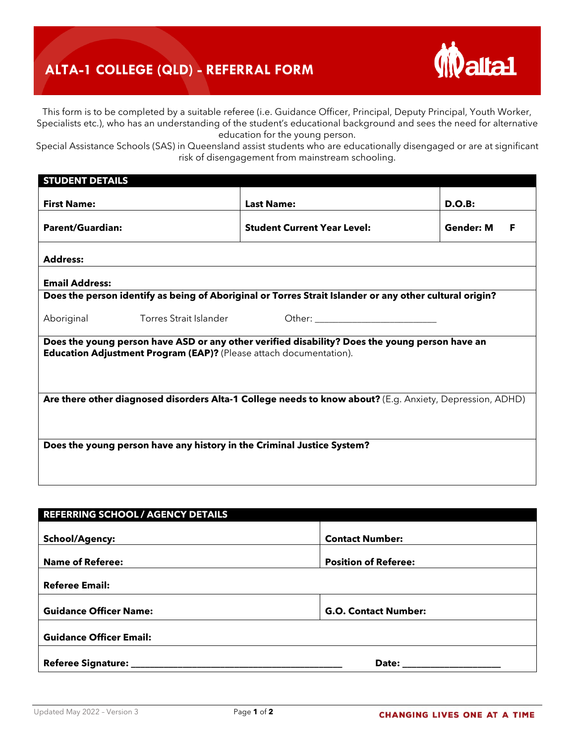## **ALTA-1 COLLEGE (QLD) - REFERRAL FORM**



This form is to be completed by a suitable referee (i.e. Guidance Officer, Principal, Deputy Principal, Youth Worker, Specialists etc.), who has an understanding of the student's educational background and sees the need for alternative education for the young person.

Special Assistance Schools (SAS) in Queensland assist students who are educationally disengaged or are at significant risk of disengagement from mainstream schooling.

| <b>STUDENT DETAILS</b>                                                                                                                                                      |                               |                                                                                                                                                                                                                                |                       |  |  |
|-----------------------------------------------------------------------------------------------------------------------------------------------------------------------------|-------------------------------|--------------------------------------------------------------------------------------------------------------------------------------------------------------------------------------------------------------------------------|-----------------------|--|--|
| <b>First Name:</b>                                                                                                                                                          |                               | <b>Last Name:</b>                                                                                                                                                                                                              | D.O.B:                |  |  |
| <b>Parent/Guardian:</b>                                                                                                                                                     |                               | <b>Student Current Year Level:</b>                                                                                                                                                                                             | <b>Gender: M</b><br>F |  |  |
| <b>Address:</b>                                                                                                                                                             |                               |                                                                                                                                                                                                                                |                       |  |  |
| <b>Email Address:</b>                                                                                                                                                       |                               |                                                                                                                                                                                                                                |                       |  |  |
|                                                                                                                                                                             |                               | Does the person identify as being of Aboriginal or Torres Strait Islander or any other cultural origin?                                                                                                                        |                       |  |  |
| Aboriginal                                                                                                                                                                  | <b>Torres Strait Islander</b> | Other: the contract of the contract of the contract of the contract of the contract of the contract of the contract of the contract of the contract of the contract of the contract of the contract of the contract of the con |                       |  |  |
| Does the young person have ASD or any other verified disability? Does the young person have an<br><b>Education Adjustment Program (EAP)?</b> (Please attach documentation). |                               |                                                                                                                                                                                                                                |                       |  |  |
| Are there other diagnosed disorders Alta-1 College needs to know about? (E.g. Anxiety, Depression, ADHD)                                                                    |                               |                                                                                                                                                                                                                                |                       |  |  |
| Does the young person have any history in the Criminal Justice System?                                                                                                      |                               |                                                                                                                                                                                                                                |                       |  |  |

| <b>REFERRING SCHOOL / AGENCY DETAILS</b> |                             |  |  |  |
|------------------------------------------|-----------------------------|--|--|--|
| <b>School/Agency:</b>                    | <b>Contact Number:</b>      |  |  |  |
| <b>Name of Referee:</b>                  | <b>Position of Referee:</b> |  |  |  |
| <b>Referee Email:</b>                    |                             |  |  |  |
| <b>Guidance Officer Name:</b>            | <b>G.O. Contact Number:</b> |  |  |  |
| <b>Guidance Officer Email:</b>           |                             |  |  |  |
|                                          | Date: ___________           |  |  |  |